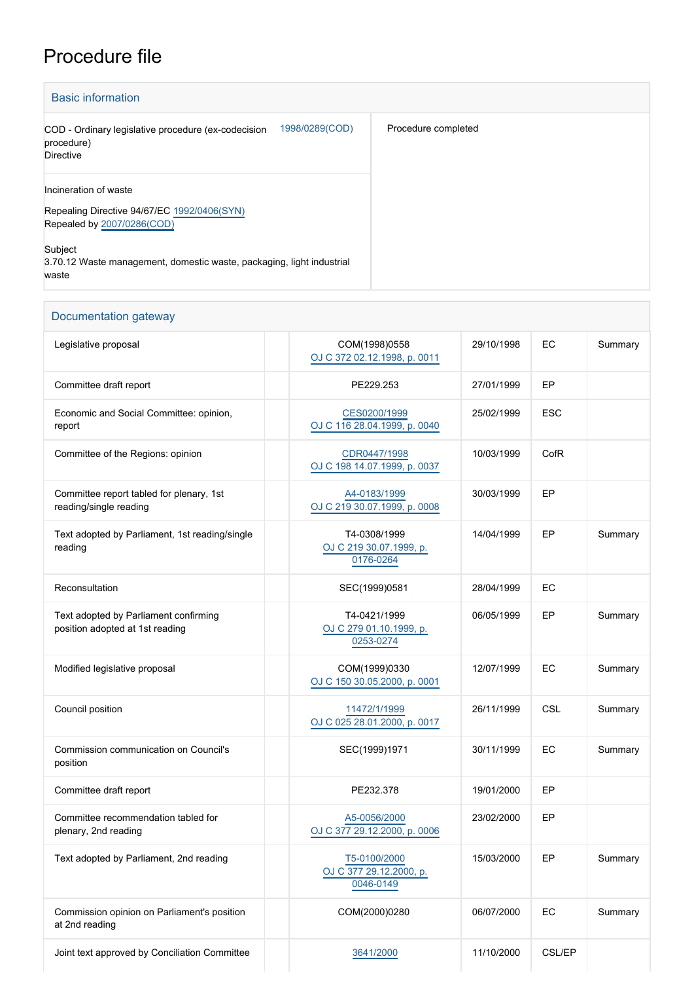## Procedure file

| <b>Basic information</b>                                                                                                                                                                        |                     |
|-------------------------------------------------------------------------------------------------------------------------------------------------------------------------------------------------|---------------------|
| 1998/0289(COD)<br>COD - Ordinary legislative procedure (ex-codecision<br>procedure)<br><b>Directive</b>                                                                                         | Procedure completed |
| Incineration of waste<br>Repealing Directive 94/67/EC 1992/0406(SYN)<br>Repealed by 2007/0286(COD)<br>Subject<br>3.70.12 Waste management, domestic waste, packaging, light industrial<br>waste |                     |

## Documentation gateway

| Legislative proposal                                                     | COM(1998)0558<br>OJ C 372 02.12.1998, p. 0011        | 29/10/1998 | EC         | Summary |
|--------------------------------------------------------------------------|------------------------------------------------------|------------|------------|---------|
| Committee draft report                                                   | PE229.253                                            | 27/01/1999 | EP         |         |
| Economic and Social Committee: opinion,<br>report                        | CES0200/1999<br>OJ C 116 28.04.1999, p. 0040         | 25/02/1999 | <b>ESC</b> |         |
| Committee of the Regions: opinion                                        | CDR0447/1998<br>OJ C 198 14.07.1999, p. 0037         | 10/03/1999 | CofR       |         |
| Committee report tabled for plenary, 1st<br>reading/single reading       | A4-0183/1999<br>OJ C 219 30.07.1999, p. 0008         | 30/03/1999 | EP         |         |
| Text adopted by Parliament, 1st reading/single<br>reading                | T4-0308/1999<br>OJ C 219 30.07.1999, p.<br>0176-0264 | 14/04/1999 | EP         | Summary |
| Reconsultation                                                           | SEC(1999)0581                                        | 28/04/1999 | EC         |         |
| Text adopted by Parliament confirming<br>position adopted at 1st reading | T4-0421/1999<br>OJ C 279 01.10.1999, p.<br>0253-0274 | 06/05/1999 | EP         | Summary |
| Modified legislative proposal                                            | COM(1999)0330<br>OJ C 150 30.05.2000, p. 0001        | 12/07/1999 | EC         | Summary |
| Council position                                                         | 11472/1/1999<br>OJ C 025 28.01.2000, p. 0017         | 26/11/1999 | CSL        | Summary |
| Commission communication on Council's<br>position                        | SEC(1999)1971                                        | 30/11/1999 | EC         | Summary |
| Committee draft report                                                   | PE232.378                                            | 19/01/2000 | EP         |         |
| Committee recommendation tabled for<br>plenary, 2nd reading              | A5-0056/2000<br>OJ C 377 29.12.2000, p. 0006         | 23/02/2000 | EP         |         |
| Text adopted by Parliament, 2nd reading                                  | T5-0100/2000<br>OJ C 377 29.12.2000, p.<br>0046-0149 | 15/03/2000 | EP         | Summary |
| Commission opinion on Parliament's position<br>at 2nd reading            | COM(2000)0280                                        | 06/07/2000 | EC         | Summary |
| Joint text approved by Conciliation Committee                            | 3641/2000                                            | 11/10/2000 | CSL/EP     |         |